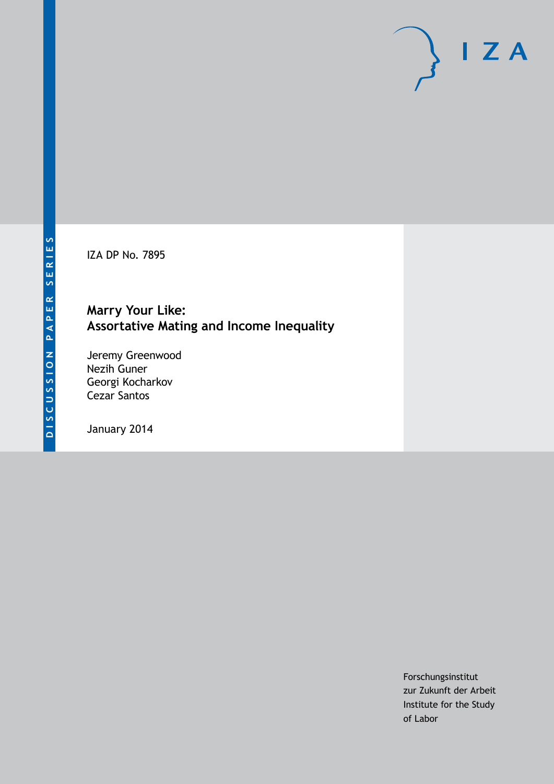IZA DP No. 7895

# **Marry Your Like: Assortative Mating and Income Inequality**

Jeremy Greenwood Nezih Guner Georgi Kocharkov Cezar Santos

January 2014

Forschungsinstitut zur Zukunft der Arbeit Institute for the Study of Labor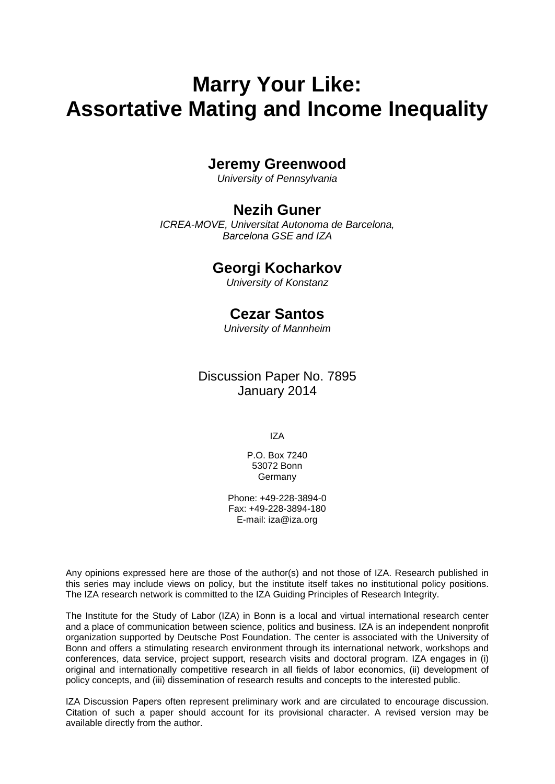# **Marry Your Like: Assortative Mating and Income Inequality**

# **Jeremy Greenwood**

*University of Pennsylvania*

## **Nezih Guner**

*ICREA-MOVE, Universitat Autonoma de Barcelona, Barcelona GSE and IZA*

### **Georgi Kocharkov**

*University of Konstanz*

# **Cezar Santos**

*University of Mannheim*

Discussion Paper No. 7895 January 2014

IZA

P.O. Box 7240 53072 Bonn **Germany** 

Phone: +49-228-3894-0 Fax: +49-228-3894-180 E-mail: [iza@iza.org](mailto:iza@iza.org)

Any opinions expressed here are those of the author(s) and not those of IZA. Research published in this series may include views on policy, but the institute itself takes no institutional policy positions. The IZA research network is committed to the IZA Guiding Principles of Research Integrity.

The Institute for the Study of Labor (IZA) in Bonn is a local and virtual international research center and a place of communication between science, politics and business. IZA is an independent nonprofit organization supported by Deutsche Post Foundation. The center is associated with the University of Bonn and offers a stimulating research environment through its international network, workshops and conferences, data service, project support, research visits and doctoral program. IZA engages in (i) original and internationally competitive research in all fields of labor economics, (ii) development of policy concepts, and (iii) dissemination of research results and concepts to the interested public.

<span id="page-1-0"></span>IZA Discussion Papers often represent preliminary work and are circulated to encourage discussion. Citation of such a paper should account for its provisional character. A revised version may be available directly from the author.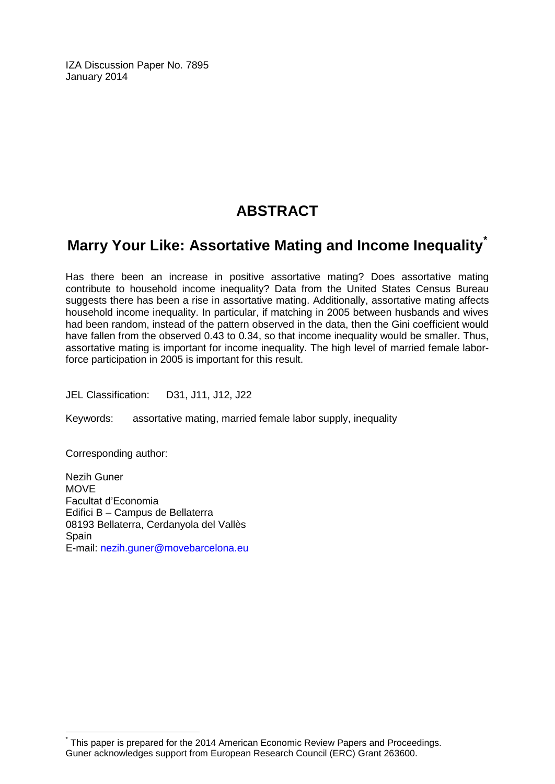IZA Discussion Paper No. 7895 January 2014

# **ABSTRACT**

# **Marry Your Like: Assortative Mating and Income Inequality[\\*](#page-1-0)**

Has there been an increase in positive assortative mating? Does assortative mating contribute to household income inequality? Data from the United States Census Bureau suggests there has been a rise in assortative mating. Additionally, assortative mating affects household income inequality. In particular, if matching in 2005 between husbands and wives had been random, instead of the pattern observed in the data, then the Gini coefficient would have fallen from the observed 0.43 to 0.34, so that income inequality would be smaller. Thus, assortative mating is important for income inequality. The high level of married female laborforce participation in 2005 is important for this result.

JEL Classification: D31, J11, J12, J22

Keywords: assortative mating, married female labor supply, inequality

Corresponding author:

Nezih Guner **MOVE** Facultat d'Economia Edifici B – Campus de Bellaterra 08193 Bellaterra, Cerdanyola del Vallès **Spain** E-mail: [nezih.guner@movebarcelona.eu](mailto:nezih.guner@movebarcelona.eu)

This paper is prepared for the 2014 American Economic Review Papers and Proceedings. Guner acknowledges support from European Research Council (ERC) Grant 263600.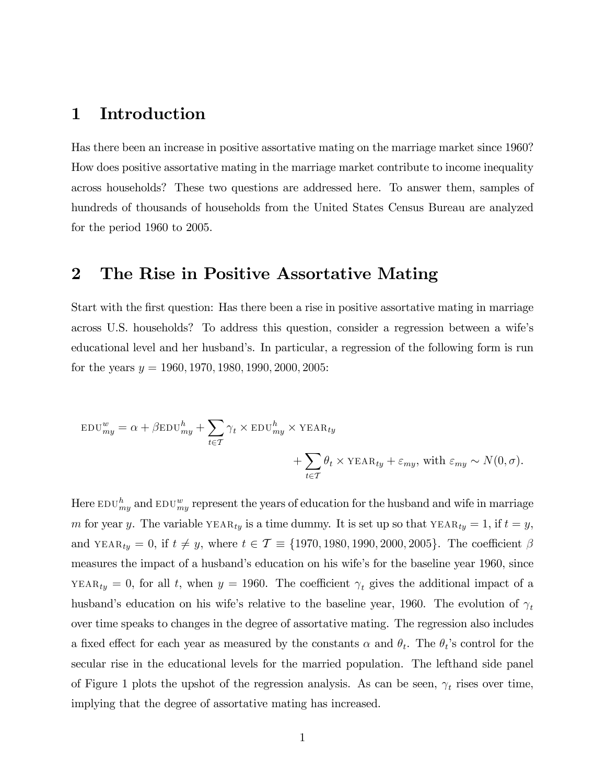### 1 Introduction

Has there been an increase in positive assortative mating on the marriage market since 1960? How does positive assortative mating in the marriage market contribute to income inequality across households? These two questions are addressed here. To answer them, samples of hundreds of thousands of households from the United States Census Bureau are analyzed for the period 1960 to 2005.

# 2 The Rise in Positive Assortative Mating

Start with the first question: Has there been a rise in positive assortative mating in marriage across U.S. households? To address this question, consider a regression between a wifeís educational level and her husband's. In particular, a regression of the following form is run for the years  $y = 1960, 1970, 1980, 1990, 2000, 2005$ :

$$
\text{EDU}_{my}^{w} = \alpha + \beta \text{EDU}_{my}^{h} + \sum_{t \in \mathcal{T}} \gamma_t \times \text{EDU}_{my}^{h} \times \text{YEAR}_{ty} + \sum_{t \in \mathcal{T}} \theta_t \times \text{YEAR}_{ty} + \varepsilon_{my}, \text{ with } \varepsilon_{my} \sim N(0, \sigma).
$$

Here  $EDU_{my}^h$  and  $EDU_{my}^w$  represent the years of education for the husband and wife in marriage m for year y. The variable  $YEAR_{ty}$  is a time dummy. It is set up so that  $YEAR_{ty} = 1$ , if  $t = y$ , and YEAR<sub>ty</sub> = 0, if  $t \neq y$ , where  $t \in \mathcal{T} \equiv \{1970, 1980, 1990, 2000, 2005\}$ . The coefficient  $\beta$ measures the impact of a husband's education on his wife's for the baseline year 1960, since YEAR<sub>ty</sub> = 0, for all t, when  $y = 1960$ . The coefficient  $\gamma_t$  gives the additional impact of a husband's education on his wife's relative to the baseline year, 1960. The evolution of  $\gamma_t$ over time speaks to changes in the degree of assortative mating. The regression also includes a fixed effect for each year as measured by the constants  $\alpha$  and  $\theta_t$ . The  $\theta_t$ 's control for the secular rise in the educational levels for the married population. The lefthand side panel of Figure 1 plots the upshot of the regression analysis. As can be seen,  $\gamma_t$  rises over time, implying that the degree of assortative mating has increased.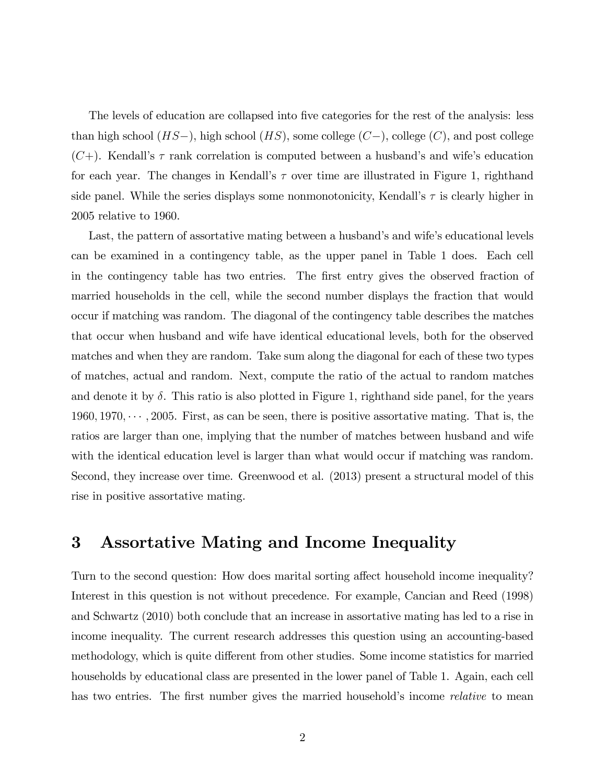The levels of education are collapsed into five categories for the rest of the analysis: less than high school  $(HS-)$ , high school  $(HS)$ , some college  $(C-)$ , college  $(C)$ , and post college  $(C+)$ . Kendall's  $\tau$  rank correlation is computed between a husband's and wife's education for each year. The changes in Kendall's  $\tau$  over time are illustrated in Figure 1, righthand side panel. While the series displays some nonmonotonicity, Kendall's  $\tau$  is clearly higher in 2005 relative to 1960.

Last, the pattern of assortative mating between a husband's and wife's educational levels can be examined in a contingency table, as the upper panel in Table 1 does. Each cell in the contingency table has two entries. The first entry gives the observed fraction of married households in the cell, while the second number displays the fraction that would occur if matching was random. The diagonal of the contingency table describes the matches that occur when husband and wife have identical educational levels, both for the observed matches and when they are random. Take sum along the diagonal for each of these two types of matches, actual and random. Next, compute the ratio of the actual to random matches and denote it by  $\delta$ . This ratio is also plotted in Figure 1, righthand side panel, for the years 1960, 1970,  $\cdots$ , 2005. First, as can be seen, there is positive assortative mating. That is, the ratios are larger than one, implying that the number of matches between husband and wife with the identical education level is larger than what would occur if matching was random. Second, they increase over time. Greenwood et al. (2013) present a structural model of this rise in positive assortative mating.

# 3 Assortative Mating and Income Inequality

Turn to the second question: How does marital sorting affect household income inequality? Interest in this question is not without precedence. For example, Cancian and Reed (1998) and Schwartz (2010) both conclude that an increase in assortative mating has led to a rise in income inequality. The current research addresses this question using an accounting-based methodology, which is quite different from other studies. Some income statistics for married households by educational class are presented in the lower panel of Table 1. Again, each cell has two entries. The first number gives the married household's income *relative* to mean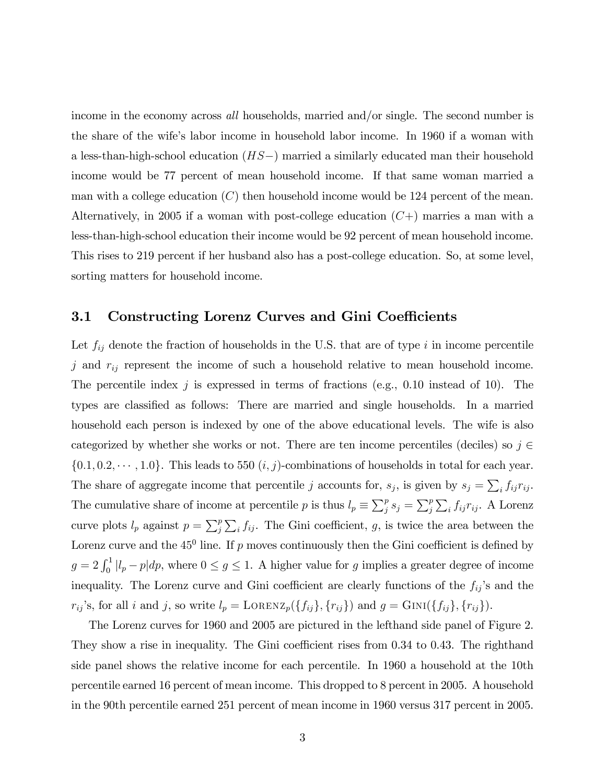income in the economy across all households, married and/or single. The second number is the share of the wifeís labor income in household labor income. In 1960 if a woman with a less-than-high-school education  $(HS-)$  married a similarly educated man their household income would be 77 percent of mean household income. If that same woman married a man with a college education  $(C)$  then household income would be 124 percent of the mean. Alternatively, in 2005 if a woman with post-college education  $(C+)$  marries a man with a less-than-high-school education their income would be 92 percent of mean household income. This rises to 219 percent if her husband also has a post-college education. So, at some level, sorting matters for household income.

### 3.1 Constructing Lorenz Curves and Gini Coefficients

Let  $f_{ij}$  denote the fraction of households in the U.S. that are of type i in income percentile j and  $r_{ij}$  represent the income of such a household relative to mean household income. The percentile index  $j$  is expressed in terms of fractions (e.g., 0.10 instead of 10). The types are classified as follows: There are married and single households. In a married household each person is indexed by one of the above educational levels. The wife is also categorized by whether she works or not. There are ten income percentiles (deciles) so  $j \in$  $\{0.1, 0.2, \dots, 1.0\}$ . This leads to 550  $(i, j)$ -combinations of households in total for each year. The share of aggregate income that percentile j accounts for,  $s_j$ , is given by  $s_j = \sum_i f_{ij} r_{ij}$ . The cumulative share of income at percentile p is thus  $l_p \equiv \sum_j^p s_j = \sum_j^p \sum_i f_{ij} r_{ij}$ . A Lorenz curve plots  $l_p$  against  $p = \sum_j^p \sum_i f_{ij}$ . The Gini coefficient, g, is twice the area between the Lorenz curve and the  $45^0$  line. If p moves continuously then the Gini coefficient is defined by  $g = 2 \int_0^1 |l_p - p| dp$ , where  $0 \le g \le 1$ . A higher value for g implies a greater degree of income inequality. The Lorenz curve and Gini coefficient are clearly functions of the  $f_{ij}$ 's and the  $r_{ij}$ 's, for all i and j, so write  $l_p = \text{LORENZ}_p(\lbrace f_{ij} \rbrace, \lbrace r_{ij} \rbrace)$  and  $g = \text{GINI}(\lbrace f_{ij} \rbrace, \lbrace r_{ij} \rbrace)$ .

The Lorenz curves for 1960 and 2005 are pictured in the lefthand side panel of Figure 2. They show a rise in inequality. The Gini coefficient rises from  $0.34$  to  $0.43$ . The righthand side panel shows the relative income for each percentile. In 1960 a household at the 10th percentile earned 16 percent of mean income. This dropped to 8 percent in 2005. A household in the 90th percentile earned 251 percent of mean income in 1960 versus 317 percent in 2005.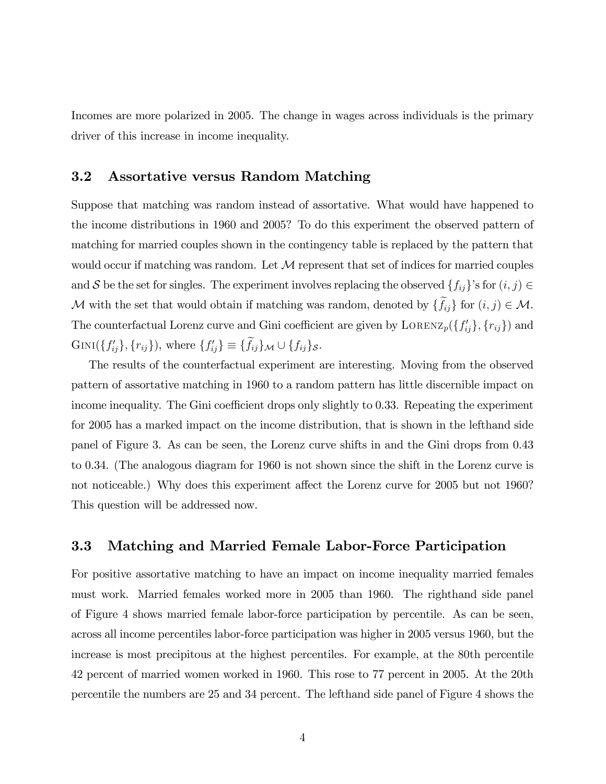Incomes are more polarized in 2005. The change in wages across individuals is the primary driver of this increase in income inequality.

### 3.2 Assortative versus Random Matching

Suppose that matching was random instead of assortative. What would have happened to the income distributions in 1960 and 2005? To do this experiment the observed pattern of matching for married couples shown in the contingency table is replaced by the pattern that would occur if matching was random. Let  $\mathcal M$  represent that set of indices for married couples and S be the set for singles. The experiment involves replacing the observed  $\{f_{ij}\}$ 's for  $(i, j) \in$ M with the set that would obtain if matching was random, denoted by  $\{\hat{f}_{ij}\}\$ for  $(i, j) \in \mathcal{M}$ . The counterfactual Lorenz curve and Gini coefficient are given by  $\text{LORENZ}_p(\lbrace f'_{ij}\rbrace, \lbrace r_{ij}\rbrace)$  and GINI( $\{f'_{ij}\}, \{r_{ij}\}\)$ , where  $\{f'_{ij}\}\equiv \{f_{ij}\}\mathcal{M} \cup \{f_{ij}\}\mathcal{S}$ .

The results of the counterfactual experiment are interesting. Moving from the observed pattern of assortative matching in 1960 to a random pattern has little discernible impact on income inequality. The Gini coefficient drops only slightly to 0.33. Repeating the experiment for 2005 has a marked impact on the income distribution, that is shown in the lefthand side panel of Figure 3. As can be seen, the Lorenz curve shifts in and the Gini drops from 0.43 to 0.34. (The analogous diagram for 1960 is not shown since the shift in the Lorenz curve is not noticeable.) Why does this experiment affect the Lorenz curve for 2005 but not 1960? This question will be addressed now.

### 3.3 Matching and Married Female Labor-Force Participation

For positive assortative matching to have an impact on income inequality married females must work. Married females worked more in 2005 than 1960. The righthand side panel of Figure 4 shows married female labor-force participation by percentile. As can be seen, across all income percentiles labor-force participation was higher in 2005 versus 1960, but the increase is most precipitous at the highest percentiles. For example, at the 80th percentile 42 percent of married women worked in 1960. This rose to 77 percent in 2005. At the 20th percentile the numbers are 25 and 34 percent. The lefthand side panel of Figure 4 shows the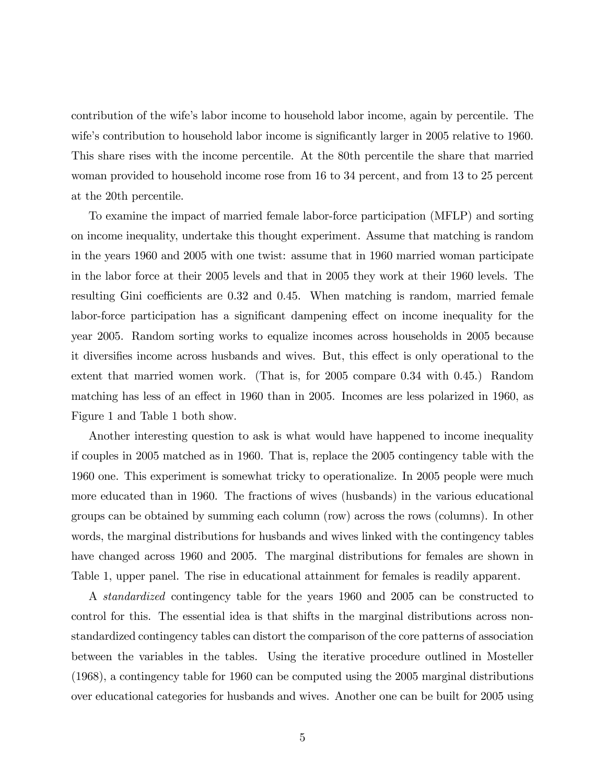contribution of the wifeís labor income to household labor income, again by percentile. The wife's contribution to household labor income is significantly larger in 2005 relative to 1960. This share rises with the income percentile. At the 80th percentile the share that married woman provided to household income rose from 16 to 34 percent, and from 13 to 25 percent at the 20th percentile.

To examine the impact of married female labor-force participation (MFLP) and sorting on income inequality, undertake this thought experiment. Assume that matching is random in the years 1960 and 2005 with one twist: assume that in 1960 married woman participate in the labor force at their 2005 levels and that in 2005 they work at their 1960 levels. The resulting Gini coefficients are  $0.32$  and  $0.45$ . When matching is random, married female labor-force participation has a significant dampening effect on income inequality for the year 2005. Random sorting works to equalize incomes across households in 2005 because it diversifies income across husbands and wives. But, this effect is only operational to the extent that married women work. (That is, for 2005 compare 0.34 with 0.45.) Random matching has less of an effect in 1960 than in 2005. Incomes are less polarized in 1960, as Figure 1 and Table 1 both show.

Another interesting question to ask is what would have happened to income inequality if couples in 2005 matched as in 1960. That is, replace the 2005 contingency table with the 1960 one. This experiment is somewhat tricky to operationalize. In 2005 people were much more educated than in 1960. The fractions of wives (husbands) in the various educational groups can be obtained by summing each column (row) across the rows (columns). In other words, the marginal distributions for husbands and wives linked with the contingency tables have changed across 1960 and 2005. The marginal distributions for females are shown in Table 1, upper panel. The rise in educational attainment for females is readily apparent.

A standardized contingency table for the years 1960 and 2005 can be constructed to control for this. The essential idea is that shifts in the marginal distributions across nonstandardized contingency tables can distort the comparison of the core patterns of association between the variables in the tables. Using the iterative procedure outlined in Mosteller (1968), a contingency table for 1960 can be computed using the 2005 marginal distributions over educational categories for husbands and wives. Another one can be built for 2005 using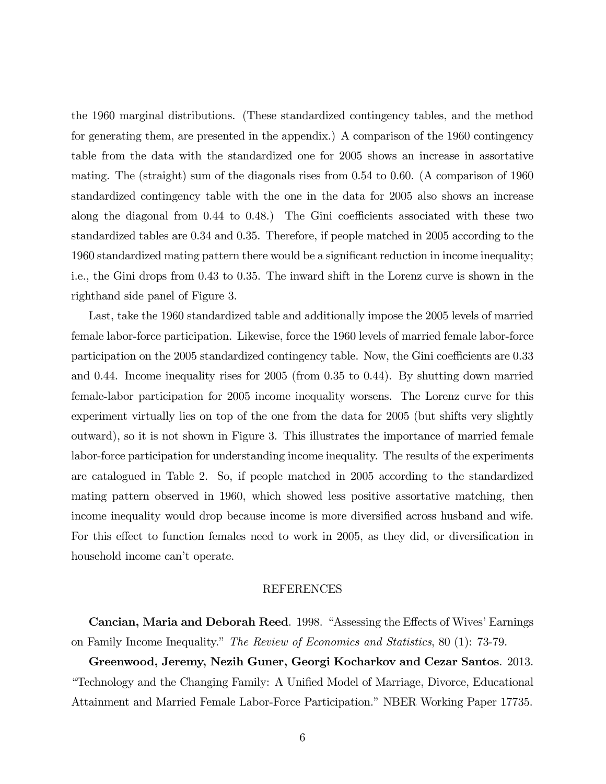the 1960 marginal distributions. (These standardized contingency tables, and the method for generating them, are presented in the appendix.) A comparison of the 1960 contingency table from the data with the standardized one for 2005 shows an increase in assortative mating. The (straight) sum of the diagonals rises from 0.54 to 0.60. (A comparison of 1960 standardized contingency table with the one in the data for 2005 also shows an increase along the diagonal from  $0.44$  to  $0.48$ .) The Gini coefficients associated with these two standardized tables are 0.34 and 0.35. Therefore, if people matched in 2005 according to the 1960 standardized mating pattern there would be a significant reduction in income inequality; i.e., the Gini drops from 0.43 to 0.35. The inward shift in the Lorenz curve is shown in the righthand side panel of Figure 3.

Last, take the 1960 standardized table and additionally impose the 2005 levels of married female labor-force participation. Likewise, force the 1960 levels of married female labor-force participation on the 2005 standardized contingency table. Now, the Gini coefficients are 0.33 and 0.44. Income inequality rises for 2005 (from 0.35 to 0.44). By shutting down married female-labor participation for 2005 income inequality worsens. The Lorenz curve for this experiment virtually lies on top of the one from the data for 2005 (but shifts very slightly outward), so it is not shown in Figure 3. This illustrates the importance of married female labor-force participation for understanding income inequality. The results of the experiments are catalogued in Table 2. So, if people matched in 2005 according to the standardized mating pattern observed in 1960, which showed less positive assortative matching, then income inequality would drop because income is more diversified across husband and wife. For this effect to function females need to work in 2005, as they did, or diversification in household income can't operate.

#### REFERENCES

Cancian, Maria and Deborah Reed. 1998. "Assessing the Effects of Wives' Earnings on Family Income Inequality.<sup>n</sup> The Review of Economics and Statistics, 80 (1): 73-79.

Greenwood, Jeremy, Nezih Guner, Georgi Kocharkov and Cezar Santos. 2013. ìTechnology and the Changing Family: A UniÖed Model of Marriage, Divorce, Educational Attainment and Married Female Labor-Force Participation." NBER Working Paper 17735.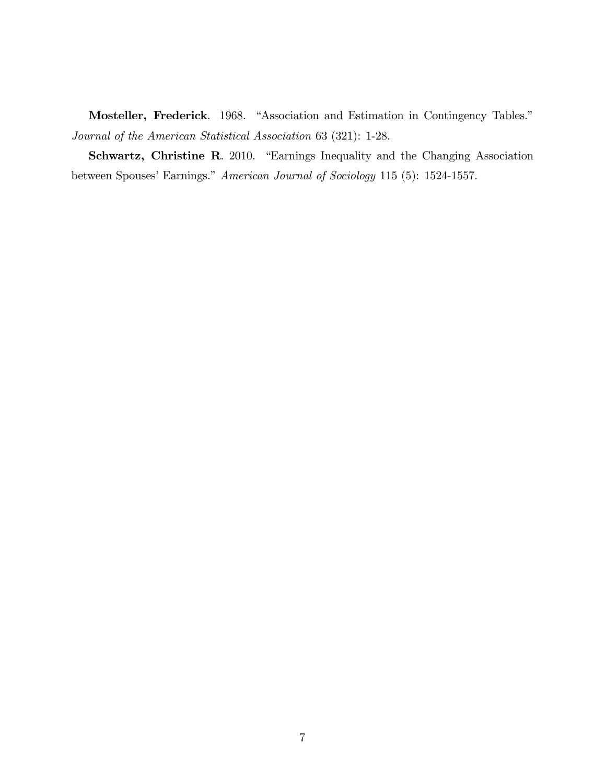Mosteller, Frederick. 1968. "Association and Estimation in Contingency Tables." Journal of the American Statistical Association 63 (321): 1-28.

Schwartz, Christine R. 2010. "Earnings Inequality and the Changing Association between Spouses' Earnings." American Journal of Sociology 115 (5): 1524-1557.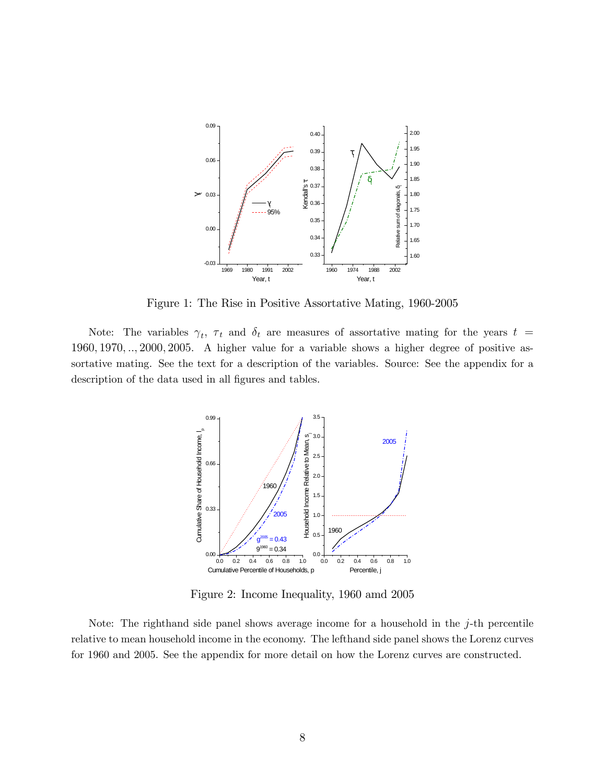

Figure 1: The Rise in Positive Assortative Mating, 1960-2005

Note: The variables  $\gamma_t$ ,  $\tau_t$  and  $\delta_t$  are measures of assortative mating for the years  $t =$  $1960, 1970, \ldots, 2000, 2005$ . A higher value for a variable shows a higher degree of positive assortative mating. See the text for a description of the variables. Source: See the appendix for a description of the data used in all figures and tables.



Figure 2: Income Inequality, 1960 amd 2005

Note: The righthand side panel shows average income for a household in the  $j$ -th percentile relative to mean household income in the economy. The lefthand side panel shows the Lorenz curves for 1960 and 2005. See the appendix for more detail on how the Lorenz curves are constructed.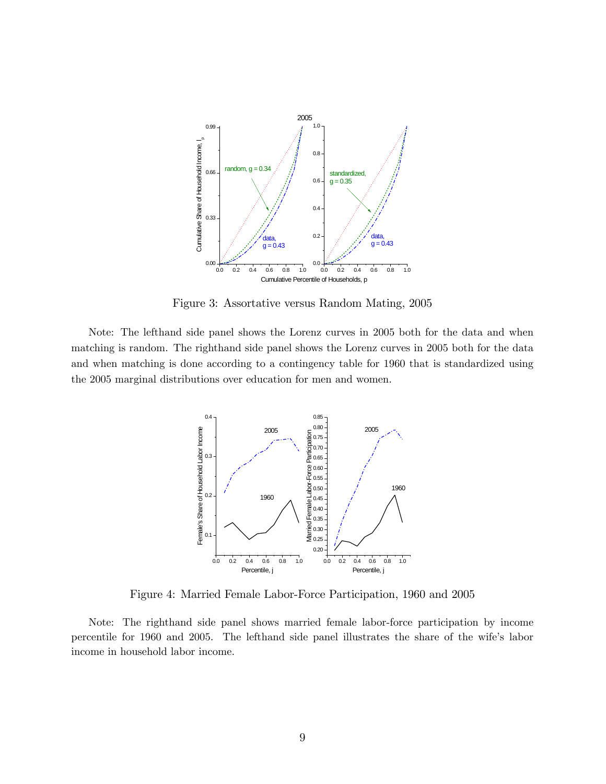

Figure 3: Assortative versus Random Mating, 2005

Note: The lefthand side panel shows the Lorenz curves in 2005 both for the data and when matching is random. The righthand side panel shows the Lorenz curves in 2005 both for the data and when matching is done according to a contingency table for 1960 that is standardized using the 2005 marginal distributions over education for men and women.



Figure 4: Married Female Labor-Force Participation, 1960 and 2005

Note: The righthand side panel shows married female labor-force participation by income percentile for 1960 and 2005. The lefthand side panel illustrates the share of the wifeís labor income in household labor income.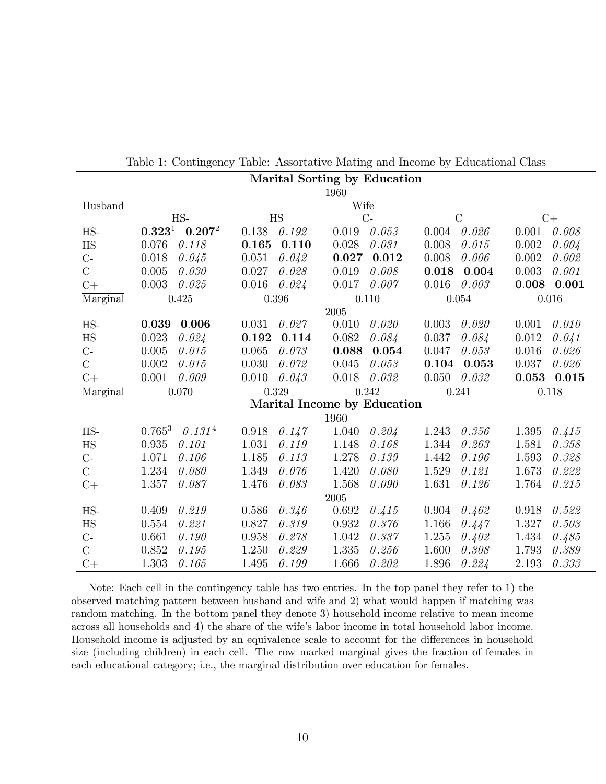| Marital Sorting by Education |                           |           |       |               |       |  |  |
|------------------------------|---------------------------|-----------|-------|---------------|-------|--|--|
|                              |                           |           | 1960  |               |       |  |  |
| Husband                      |                           |           | Wife  |               |       |  |  |
|                              | $HS-$                     | <b>HS</b> | $C-$  | $\mathcal{C}$ | $C+$  |  |  |
| HS-                          | $\mathbf{0.323}^\text{1}$ | 0.138     | 0.053 | 0.026         | 0.008 |  |  |
|                              | $0.207^2$                 | 0.192     | 0.019 | 0.004         | 0.001 |  |  |
| <b>HS</b>                    | 0.076                     | 0.165     | 0.028 | 0.008         | 0.004 |  |  |
|                              | 0.118                     | 0.110     | 0.031 | 0.015         | 0.002 |  |  |
| $C-$                         | 0.045                     | 0.042     | 0.012 | 0.008         | 0.002 |  |  |
|                              | 0.018                     | 0.051     | 0.027 | 0.006         | 0.002 |  |  |
| $\mathcal{C}$                | 0.005                     | 0.027     | 0.008 | 0.018         | 0.003 |  |  |
|                              | 0.030                     | 0.028     | 0.019 | 0.004         | 0.001 |  |  |
| $C+$                         | 0.003                     | 0.016     | 0.017 | 0.016         | 0.008 |  |  |
|                              | 0.025                     | 0.024     | 0.007 | 0.003         | 0.001 |  |  |
| Marginal                     | 0.425                     | 0.396     | 0.110 | 0.054         | 0.016 |  |  |
|                              |                           |           | 2005  |               |       |  |  |
| HS-                          | 0.006                     | 0.031     | 0.010 | 0.020         | 0.001 |  |  |
|                              | 0.039                     | 0.027     | 0.020 | 0.003         | 0.010 |  |  |
| HS                           | 0.023                     | 0.192     | 0.082 | 0.037         | 0.012 |  |  |
|                              | 0.024                     | 0.114     | 0.084 | 0.084         | 0.041 |  |  |
| $C-$                         | 0.005                     | 0.065     | 0.088 | 0.047         | 0.016 |  |  |
|                              | 0.015                     | 0.073     | 0.054 | 0.053         | 0.026 |  |  |
| $\mathbf C$                  | 0.002                     | 0.030     | 0.045 | 0.104         | 0.037 |  |  |
|                              | 0.015                     | 0.072     | 0.053 | 0.053         | 0.026 |  |  |
| $C+$                         | 0.001                     | 0.010     | 0.018 | 0.050         | 0.053 |  |  |
|                              | 0.009                     | 0.043     | 0.032 | 0.032         | 0.015 |  |  |
| Marginal                     | 0.070                     | 0.329     | 0.242 | 0.241         | 0.118 |  |  |
| Marital Income by Education  |                           |           |       |               |       |  |  |
| 1960                         |                           |           |       |               |       |  |  |
| HS-                          | $0.765^3$                 | 0.918     | 1.040 | 0.356         | 1.395 |  |  |
|                              | $0.131^{4}$               | 0.147     | 0.204 | 1.243         | 0.415 |  |  |
| HS                           | 0.935                     | 1.031     | 1.148 | 1.344         | 0.358 |  |  |
|                              | 0.101                     | 0.119     | 0.168 | 0.263         | 1.581 |  |  |
| $C-$                         | 0.106                     | 1.185     | 1.278 | 1.442         | 0.328 |  |  |
|                              | 1.071                     | 0.113     | 0.139 | 0.196         | 1.593 |  |  |
| $\mathcal{C}$                | 1.234                     | 1.349     | 1.420 | 1.529         | 0.222 |  |  |
|                              | 0.080                     | 0.076     | 0.080 | 0.121         | 1.673 |  |  |
| $C+$                         | 1.357                     | 1.476     | 1.568 | 1.631         | 1.764 |  |  |
|                              | 0.087                     | 0.083     | 0.090 | 0.126         | 0.215 |  |  |
|                              |                           |           | 2005  |               |       |  |  |
| HS-                          | 0.409                     | 0.586     | 0.692 | 0.904         | 0.918 |  |  |
|                              | 0.219                     | 0.346     | 0.415 | 0.462         | 0.522 |  |  |
| HS                           | 0.221                     | 0.827     | 0.932 | 1.166         | 1.327 |  |  |
|                              | 0.554                     | 0.319     | 0.376 | 0.447         | 0.503 |  |  |
| $C-$                         | 0.661                     | 0.958     | 1.042 | 1.255         | 1.434 |  |  |
|                              | 0.190                     | 0.278     | 0.337 | 0.402         | 0.485 |  |  |
| $\mathcal{C}$                | 0.852                     | 1.250     | 1.335 | 1.600         | 1.793 |  |  |
|                              | 0.195                     | 0.229     | 0.256 | 0.308         | 0.389 |  |  |
| $C+$                         | 1.303                     | 1.495     | 1.666 | 1.896         | 0.333 |  |  |
|                              | 0.165                     | 0.199     | 0.202 | 0.224         | 2.193 |  |  |

Table 1: Contingency Table: Assortative Mating and Income by Educational Class

Note: Each cell in the contingency table has two entries. In the top panel they refer to 1) the observed matching pattern between husband and wife and 2) what would happen if matching was random matching. In the bottom panel they denote 3) household income relative to mean income across all households and 4) the share of the wife's labor income in total household labor income. Household income is adjusted by an equivalence scale to account for the differences in household size (including children) in each cell. The row marked marginal gives the fraction of females in each educational category; i.e., the marginal distribution over education for females.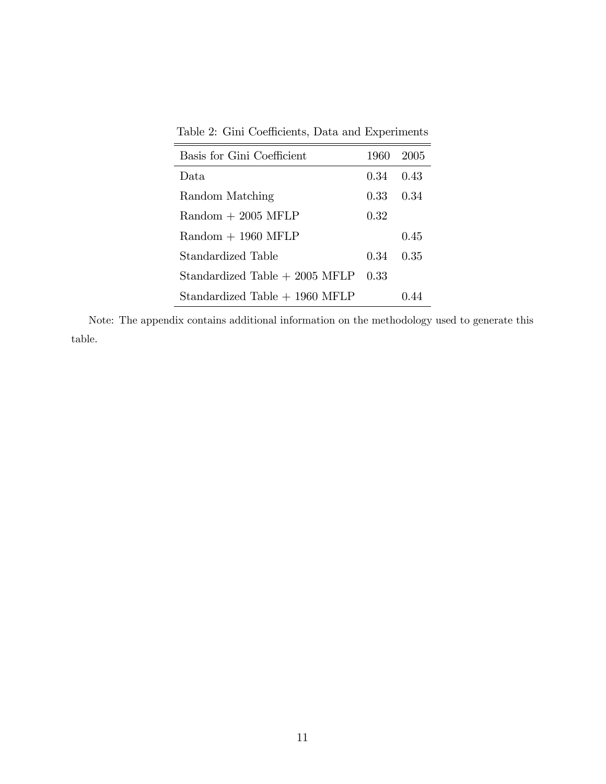Table 2: Gini Coefficients, Data and Experiments

| Basis for Gini Coefficient          | 1960 | 2005  |
|-------------------------------------|------|-------|
| Data.                               | 0.34 | 0.43  |
| Random Matching                     | 0.33 | 0.34  |
| $\text{Random} + 2005 \text{ MFLP}$ | 0.32 |       |
| $\text{Random} + 1960 \text{ MFLP}$ |      | 0.45  |
| Standardized Table                  | 0.34 | 0.35  |
| Standardized Table $+$ 2005 MFLP    | 0.33 |       |
| $Standardized Table + 1960 MFLP$    |      | () 44 |

Note: The appendix contains additional information on the methodology used to generate this table.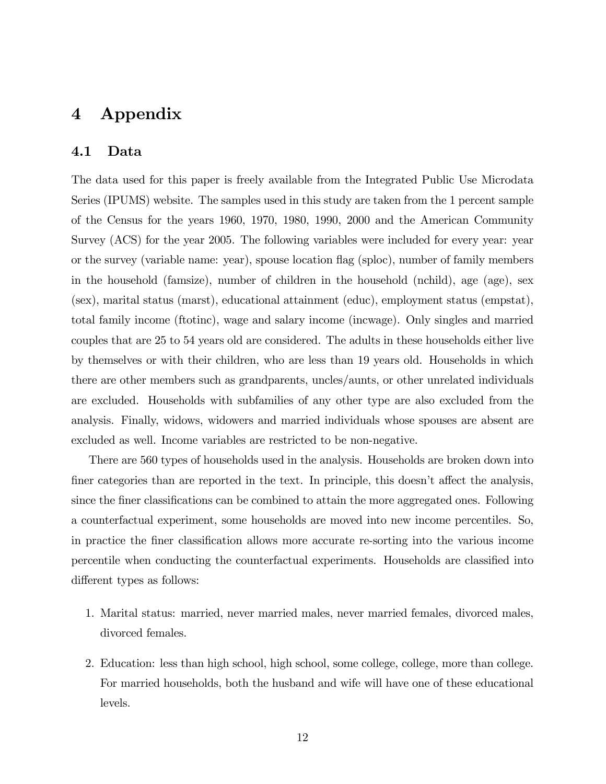# 4 Appendix

### 4.1 Data

The data used for this paper is freely available from the Integrated Public Use Microdata Series (IPUMS) website. The samples used in this study are taken from the 1 percent sample of the Census for the years 1960, 1970, 1980, 1990, 2000 and the American Community Survey (ACS) for the year 2005. The following variables were included for every year: year or the survey (variable name: year), spouse location áag (sploc), number of family members in the household (famsize), number of children in the household (nchild), age (age), sex (sex), marital status (marst), educational attainment (educ), employment status (empstat), total family income (ftotinc), wage and salary income (incwage). Only singles and married couples that are 25 to 54 years old are considered. The adults in these households either live by themselves or with their children, who are less than 19 years old. Households in which there are other members such as grandparents, uncles/aunts, or other unrelated individuals are excluded. Households with subfamilies of any other type are also excluded from the analysis. Finally, widows, widowers and married individuals whose spouses are absent are excluded as well. Income variables are restricted to be non-negative.

There are 560 types of households used in the analysis. Households are broken down into finer categories than are reported in the text. In principle, this doesn't affect the analysis, since the finer classifications can be combined to attain the more aggregated ones. Following a counterfactual experiment, some households are moved into new income percentiles. So, in practice the finer classification allows more accurate re-sorting into the various income percentile when conducting the counterfactual experiments. Households are classified into different types as follows:

- 1. Marital status: married, never married males, never married females, divorced males, divorced females.
- 2. Education: less than high school, high school, some college, college, more than college. For married households, both the husband and wife will have one of these educational levels.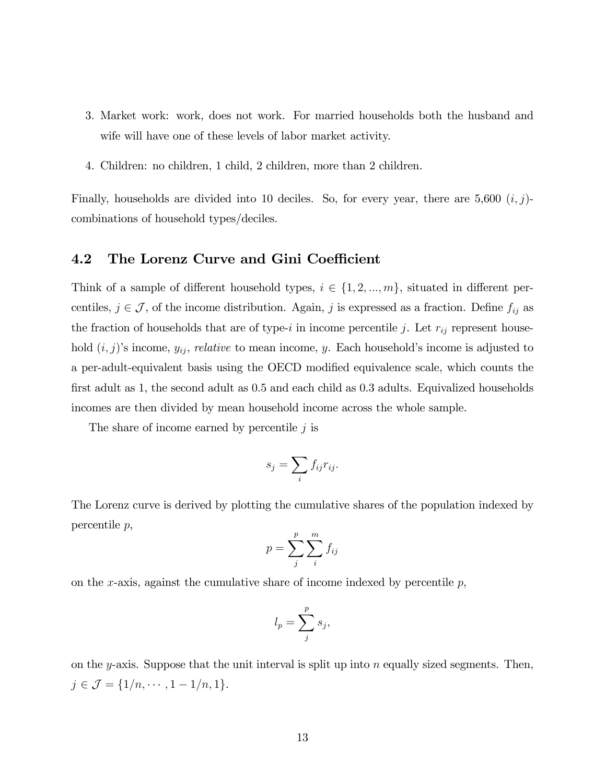- 3. Market work: work, does not work. For married households both the husband and wife will have one of these levels of labor market activity.
- 4. Children: no children, 1 child, 2 children, more than 2 children.

Finally, households are divided into 10 deciles. So, for every year, there are  $5,600$   $(i, j)$ combinations of household types/deciles.

### 4.2 The Lorenz Curve and Gini Coefficient

Think of a sample of different household types,  $i \in \{1, 2, ..., m\}$ , situated in different percentiles,  $j \in \mathcal{J}$ , of the income distribution. Again, j is expressed as a fraction. Define  $f_{ij}$  as the fraction of households that are of type-i in income percentile j. Let  $r_{ij}$  represent household  $(i, j)$ 's income,  $y_{ij}$ , relative to mean income, y. Each household's income is adjusted to a per-adult-equivalent basis using the OECD modified equivalence scale, which counts the first adult as  $1$ , the second adult as  $0.5$  and each child as  $0.3$  adults. Equivalized households incomes are then divided by mean household income across the whole sample.

The share of income earned by percentile  $j$  is

$$
s_j = \sum_i f_{ij} r_{ij}.
$$

The Lorenz curve is derived by plotting the cumulative shares of the population indexed by percentile p,

$$
p = \sum_{j}^{p} \sum_{i}^{m} f_{ij}
$$

on the x-axis, against the cumulative share of income indexed by percentile  $p$ ,

$$
l_p = \sum_j^p s_j,
$$

on the y-axis. Suppose that the unit interval is split up into  $n$  equally sized segments. Then,  $j \in \mathcal{J} = \{1/n, \cdots, 1-1/n, 1\}.$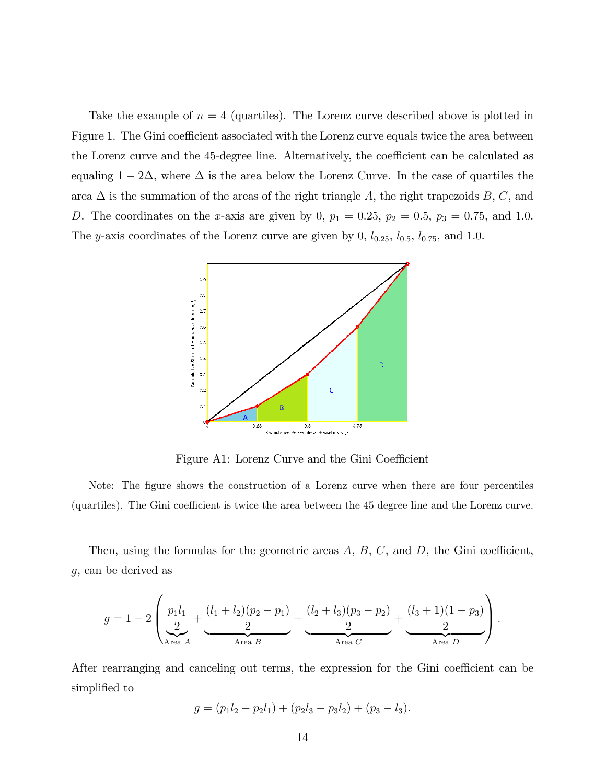Take the example of  $n = 4$  (quartiles). The Lorenz curve described above is plotted in Figure 1. The Gini coefficient associated with the Lorenz curve equals twice the area between the Lorenz curve and the 45-degree line. Alternatively, the coefficient can be calculated as equaling  $1 - 2\Delta$ , where  $\Delta$  is the area below the Lorenz Curve. In the case of quartiles the area  $\Delta$  is the summation of the areas of the right triangle A, the right trapezoids B, C, and D. The coordinates on the x-axis are given by 0,  $p_1 = 0.25$ ,  $p_2 = 0.5$ ,  $p_3 = 0.75$ , and 1.0. The y-axis coordinates of the Lorenz curve are given by 0,  $l_{0.25}$ ,  $l_{0.5}$ ,  $l_{0.75}$ , and 1.0.



Figure A1: Lorenz Curve and the Gini Coefficient

Note: The figure shows the construction of a Lorenz curve when there are four percentiles (quartiles). The Gini coefficient is twice the area between the 45 degree line and the Lorenz curve.

Then, using the formulas for the geometric areas  $A, B, C$ , and  $D$ , the Gini coefficient, g, can be derived as

$$
g = 1 - 2\left(\underbrace{\frac{p_1l_1}{2}}_{\text{Area }A} + \underbrace{\frac{(l_1 + l_2)(p_2 - p_1)}{2}}_{\text{Area }B} + \underbrace{\frac{(l_2 + l_3)(p_3 - p_2)}{2}}_{\text{Area }C} + \underbrace{\frac{(l_3 + 1)(1 - p_3)}{2}}_{\text{Area }D}\right).
$$

After rearranging and canceling out terms, the expression for the Gini coefficient can be simplified to

$$
g = (p_1l_2 - p_2l_1) + (p_2l_3 - p_3l_2) + (p_3 - l_3).
$$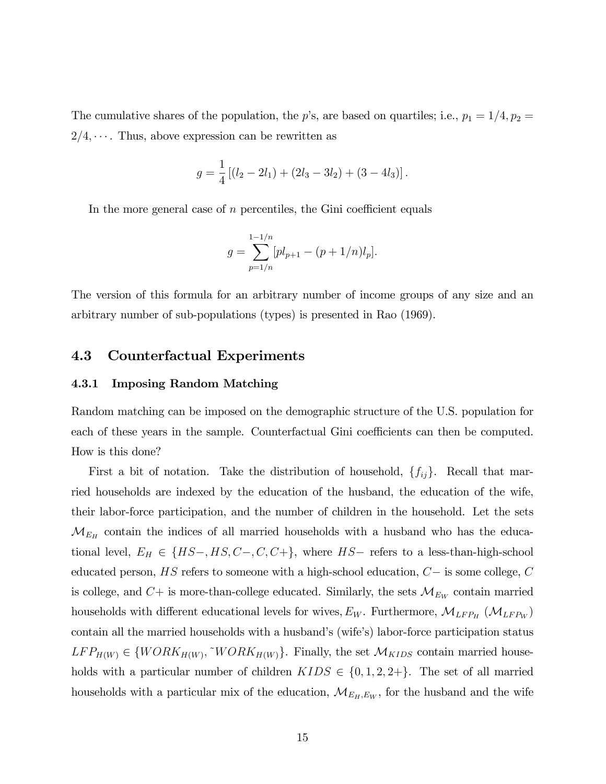The cumulative shares of the population, the p's, are based on quartiles; i.e.,  $p_1 = 1/4, p_2 =$  $2/4, \cdots$ . Thus, above expression can be rewritten as

$$
g = \frac{1}{4} [(l_2 - 2l_1) + (2l_3 - 3l_2) + (3 - 4l_3)].
$$

In the more general case of  $n$  percentiles, the Gini coefficient equals

$$
g = \sum_{p=1/n}^{1-1/n} [pl_{p+1} - (p+1/n)l_p].
$$

The version of this formula for an arbitrary number of income groups of any size and an arbitrary number of sub-populations (types) is presented in Rao (1969).

### 4.3 Counterfactual Experiments

#### 4.3.1 Imposing Random Matching

Random matching can be imposed on the demographic structure of the U.S. population for each of these years in the sample. Counterfactual Gini coefficients can then be computed. How is this done?

First a bit of notation. Take the distribution of household,  $\{f_{ij}\}\$ . Recall that married households are indexed by the education of the husband, the education of the wife, their labor-force participation, and the number of children in the household. Let the sets  $\mathcal{M}_{E_H}$  contain the indices of all married households with a husband who has the educational level,  $E_H \in \{HS-, HS, C-, C, C+\}$ , where  $HS-$  refers to a less-than-high-school educated person,  $HS$  refers to someone with a high-school education,  $C-$  is some college,  $C$ is college, and  $C+$  is more-than-college educated. Similarly, the sets  $\mathcal{M}_{E_W}$  contain married households with different educational levels for wives,  $E_W$ . Furthermore,  $\mathcal{M}_{LFP_H}$  ( $\mathcal{M}_{LFP_W}$ ) contain all the married households with a husband's (wife's) labor-force participation status  $LFP_{H(W)} \in \{WORK_{H(W)}, \text{``}WORK_{H(W)}\}.$  Finally, the set  $\mathcal{M}_{KIDS}$  contain married households with a particular number of children  $KIDS \in \{0, 1, 2, 2+\}$ . The set of all married households with a particular mix of the education,  $\mathcal{M}_{E_H,E_W}$ , for the husband and the wife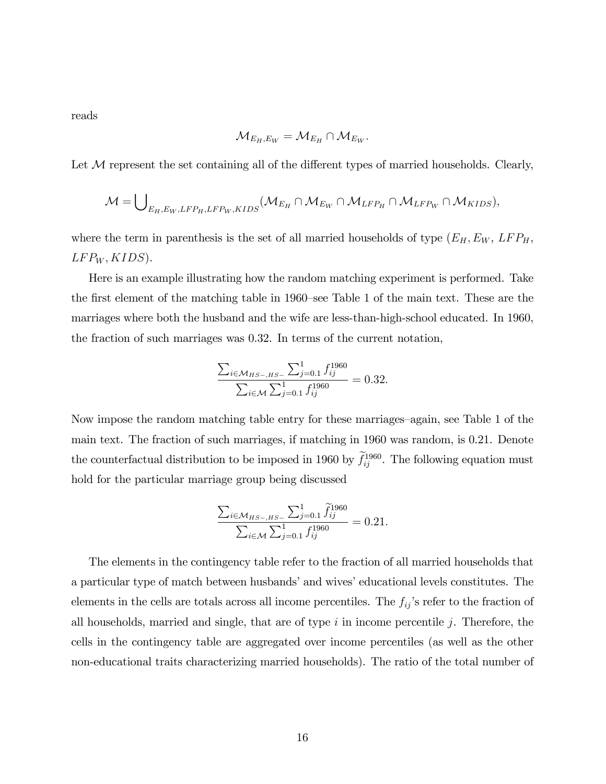reads

$$
\mathcal{M}_{E_H,E_W}=\mathcal{M}_{E_H}\cap \mathcal{M}_{E_W}.
$$

Let  $\mathcal M$  represent the set containing all of the different types of married households. Clearly,

$$
\mathcal{M} = \bigcup_{E_H, E_W, LFP_H, LFP_W, KIDS} (\mathcal{M}_{E_H} \cap \mathcal{M}_{E_W} \cap \mathcal{M}_{LFP_H} \cap \mathcal{M}_{LFP_W} \cap \mathcal{M}_{KIDS}),
$$

where the term in parenthesis is the set of all married households of type  $(E_H, E_W, LFP_H,$  $LFP_W, KIDS$ .

Here is an example illustrating how the random matching experiment is performed. Take the first element of the matching table in 1960–see Table 1 of the main text. These are the marriages where both the husband and the wife are less-than-high-school educated. In 1960, the fraction of such marriages was 0.32. In terms of the current notation,

$$
\frac{\sum_{i \in \mathcal{M}_{HS-,HS-}} \sum_{j=0.1}^1 f_{ij}^{1960}}{\sum_{i \in \mathcal{M}} \sum_{j=0.1}^1 f_{ij}^{1960}} = 0.32.
$$

Now impose the random matching table entry for these marriages–again, see Table 1 of the main text. The fraction of such marriages, if matching in 1960 was random, is 0.21. Denote the counterfactual distribution to be imposed in 1960 by  $f_{ij}^{1960}$ . The following equation must hold for the particular marriage group being discussed

$$
\frac{\sum_{i \in \mathcal{M}_{HS-,HS-}} \sum_{j=0.1}^{1} \tilde{f}_{ij}^{1960}}{\sum_{i \in \mathcal{M}} \sum_{j=0.1}^{1} f_{ij}^{1960}} = 0.21.
$$

The elements in the contingency table refer to the fraction of all married households that a particular type of match between husbands' and wives' educational levels constitutes. The elements in the cells are totals across all income percentiles. The  $f_{ij}$ 's refer to the fraction of all households, married and single, that are of type  $i$  in income percentile  $j$ . Therefore, the cells in the contingency table are aggregated over income percentiles (as well as the other non-educational traits characterizing married households). The ratio of the total number of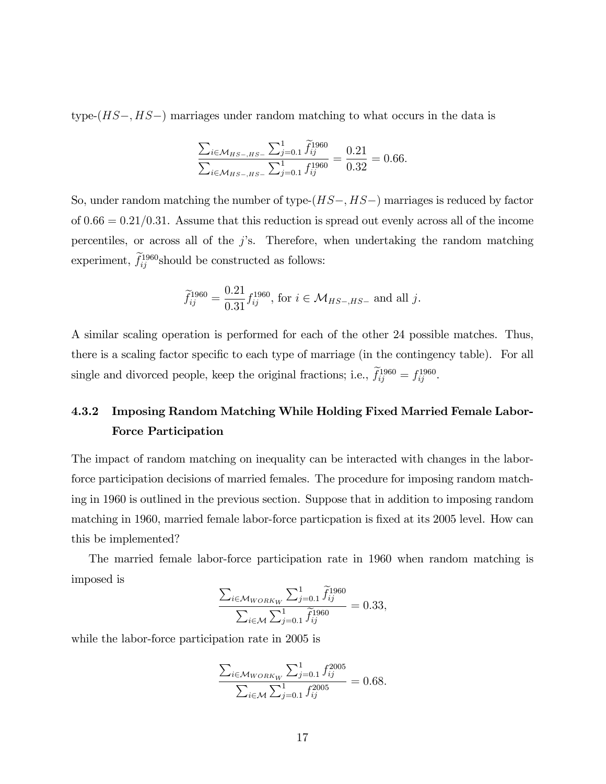type- $(HS-, HS-)$  marriages under random matching to what occurs in the data is

$$
\frac{\sum_{i \in \mathcal{M}_{HS-,HS-}} \sum_{j=0.1}^{1} \tilde{f}_{ij}^{1960}}{\sum_{i \in \mathcal{M}_{HS-,HS-}} \sum_{j=0.1}^{1} f_{ij}^{1960}} = \frac{0.21}{0.32} = 0.66.
$$

So, under random matching the number of type- $(HS-, HS-)$  marriages is reduced by factor of  $0.66 = 0.21/0.31$ . Assume that this reduction is spread out evenly across all of the income percentiles, or across all of the  $j$ 's. Therefore, when undertaking the random matching experiment,  $f_{ij}^{1960}$  should be constructed as follows:

$$
\widetilde{f}_{ij}^{1960} = \frac{0.21}{0.31} f_{ij}^{1960}, \text{ for } i \in \mathcal{M}_{HS-,HS-} \text{ and all } j.
$$

A similar scaling operation is performed for each of the other 24 possible matches. Thus, there is a scaling factor specific to each type of marriage (in the contingency table). For all single and divorced people, keep the original fractions; i.e.,  $f_{ij}^{1960} = f_{ij}^{1960}$ .

### 4.3.2 Imposing Random Matching While Holding Fixed Married Female Labor-Force Participation

The impact of random matching on inequality can be interacted with changes in the laborforce participation decisions of married females. The procedure for imposing random matching in 1960 is outlined in the previous section. Suppose that in addition to imposing random matching in 1960, married female labor-force partic particular is fixed at its 2005 level. How can this be implemented?

The married female labor-force participation rate in 1960 when random matching is imposed is

$$
\frac{\sum_{i \in \mathcal{M}_{WORK_W}} \sum_{j=0.1}^{1} \tilde{f}_{ij}^{1960}}{\sum_{i \in \mathcal{M}} \sum_{j=0.1}^{1} \tilde{f}_{ij}^{1960}} = 0.33,
$$

while the labor-force participation rate in 2005 is

$$
\frac{\sum_{i \in \mathcal{M}_{WORK_W}} \sum_{j=0.1}^1 f_{ij}^{2005}}{\sum_{i \in \mathcal{M}} \sum_{j=0.1}^1 f_{ij}^{2005}} = 0.68.
$$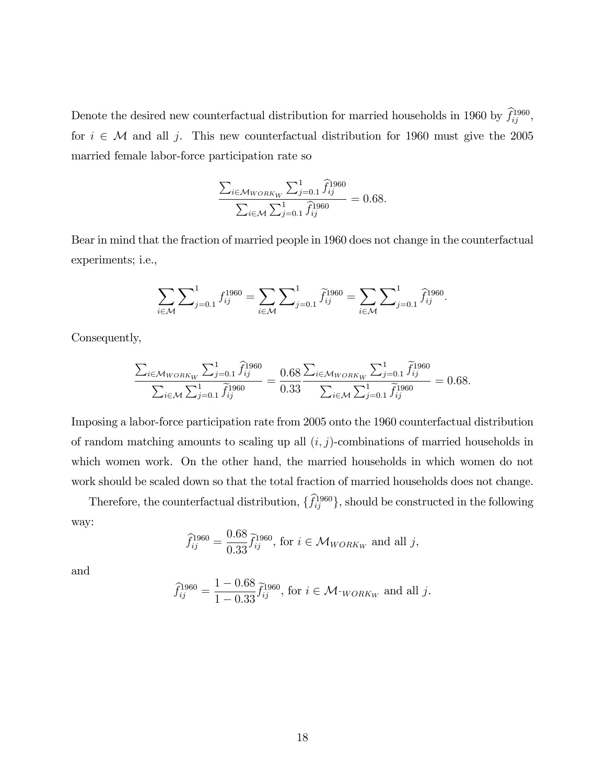Denote the desired new counterfactual distribution for married households in 1960 by  $\hat{f}_{ij}^{1960}$ , for  $i \in \mathcal{M}$  and all j. This new counterfactual distribution for 1960 must give the 2005 married female labor-force participation rate so

$$
\frac{\sum_{i \in \mathcal{M}_{WORK_W}} \sum_{j=0.1}^1 \hat{f}_{ij}^{1960}}{\sum_{i \in \mathcal{M}} \sum_{j=0.1}^1 \hat{f}_{ij}^{1960}} = 0.68.
$$

Bear in mind that the fraction of married people in 1960 does not change in the counterfactual experiments; i.e.,

$$
\sum_{i \in \mathcal{M}} \sum_{j=0,1}^{1} f_{ij}^{1960} = \sum_{i \in \mathcal{M}} \sum_{j=0,1}^{1} \widetilde{f}_{ij}^{1960} = \sum_{i \in \mathcal{M}} \sum_{j=0,1}^{1} \widehat{f}_{ij}^{1960}.
$$

Consequently,

$$
\frac{\sum_{i \in \mathcal{M}_{WORK_W}} \sum_{j=0.1}^1 \hat{f}_{ij}^{1960}}{\sum_{i \in \mathcal{M}} \sum_{j=0.1}^1 \hat{f}_{ij}^{1960}} = \frac{0.68}{0.33} \frac{\sum_{i \in \mathcal{M}_{WORK_W}} \sum_{j=0.1}^1 \hat{f}_{ij}^{1960}}{\sum_{i \in \mathcal{M}} \sum_{j=0.1}^1 \hat{f}_{ij}^{1960}} = 0.68.
$$

Imposing a labor-force participation rate from 2005 onto the 1960 counterfactual distribution of random matching amounts to scaling up all  $(i, j)$ -combinations of married households in which women work. On the other hand, the married households in which women do not work should be scaled down so that the total fraction of married households does not change.

Therefore, the counterfactual distribution,  $\{f_{ij}^{1960}\}$ , should be constructed in the following way:

$$
\widehat{f}_{ij}^{1960} = \frac{0.68}{0.33} \widetilde{f}_{ij}^{1960}, \text{ for } i \in \mathcal{M}_{WORK_W} \text{ and all } j,
$$

and

$$
\hat{f}_{ij}^{1960} = \frac{1 - 0.68}{1 - 0.33} \tilde{f}_{ij}^{1960}
$$
, for  $i \in \mathcal{M}_{\text{V}VORK_W}$  and all j.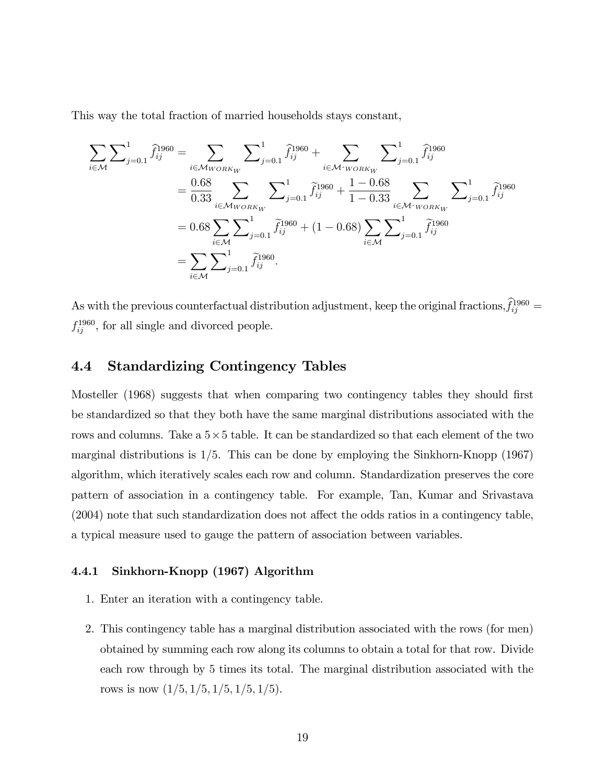This way the total fraction of married households stays constant,

$$
\sum_{i \in \mathcal{M}} \sum_{j=0.1}^{1} \hat{f}_{ij}^{1960} = \sum_{i \in \mathcal{M}_{WORK_W}} \sum_{j=0.1}^{1} \hat{f}_{ij}^{1960} + \sum_{i \in \mathcal{M}_{\neg WORK_W}} \sum_{j=0.1}^{1} \hat{f}_{ij}^{1960}
$$
\n
$$
= \frac{0.68}{0.33} \sum_{i \in \mathcal{M}_{WORK_W}} \sum_{j=0.1}^{1} \hat{f}_{ij}^{1960} + \frac{1 - 0.68}{1 - 0.33} \sum_{i \in \mathcal{M}_{\neg WORK_W}} \sum_{j=0.1}^{1} \hat{f}_{ij}^{1960}
$$
\n
$$
= 0.68 \sum_{i \in \mathcal{M}} \sum_{j=0.1}^{1} \hat{f}_{ij}^{1960} + (1 - 0.68) \sum_{i \in \mathcal{M}} \sum_{j=0.1}^{1} \hat{f}_{ij}^{1960}
$$
\n
$$
= \sum_{i \in \mathcal{M}} \sum_{j=0.1}^{1} \hat{f}_{ij}^{1960}.
$$

As with the previous counterfactual distribution adjustment, keep the original fractions,  $f_{ij}^{1960}$  =  $f_{ij}^{1960}$ , for all single and divorced people.

### 4.4 Standardizing Contingency Tables

Mosteller (1968) suggests that when comparing two contingency tables they should first be standardized so that they both have the same marginal distributions associated with the rows and columns. Take a  $5 \times 5$  table. It can be standardized so that each element of the two marginal distributions is  $1/5$ . This can be done by employing the Sinkhorn-Knopp (1967) algorithm, which iteratively scales each row and column. Standardization preserves the core pattern of association in a contingency table. For example, Tan, Kumar and Srivastava  $(2004)$  note that such standardization does not affect the odds ratios in a contingency table, a typical measure used to gauge the pattern of association between variables.

#### 4.4.1 Sinkhorn-Knopp (1967) Algorithm

- 1. Enter an iteration with a contingency table.
- 2. This contingency table has a marginal distribution associated with the rows (for men) obtained by summing each row along its columns to obtain a total for that row. Divide each row through by 5 times its total. The marginal distribution associated with the rows is now  $(1/5, 1/5, 1/5, 1/5, 1/5)$ .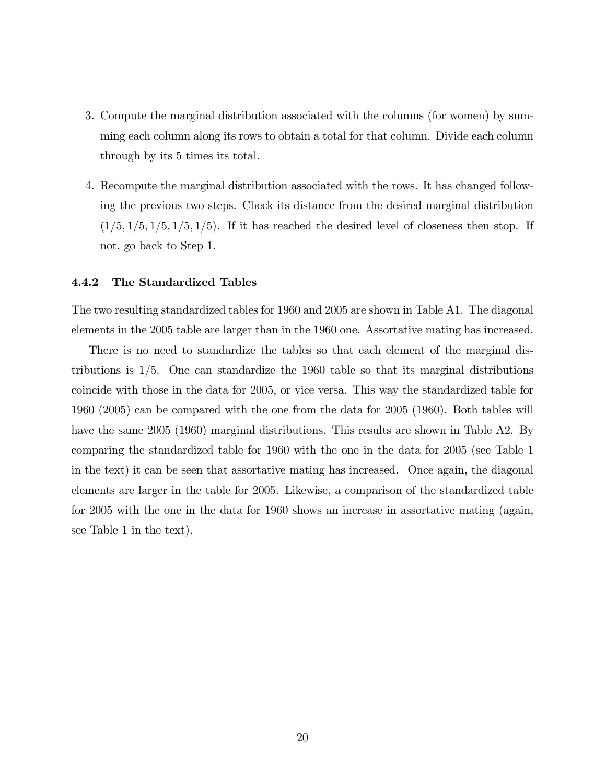- 3. Compute the marginal distribution associated with the columns (for women) by summing each column along its rows to obtain a total for that column. Divide each column through by its 5 times its total.
- 4. Recompute the marginal distribution associated with the rows. It has changed following the previous two steps. Check its distance from the desired marginal distribution  $(1/5, 1/5, 1/5, 1/5, 1/5)$ . If it has reached the desired level of closeness then stop. If not, go back to Step 1.

#### 4.4.2 The Standardized Tables

The two resulting standardized tables for 1960 and 2005 are shown in Table A1. The diagonal elements in the 2005 table are larger than in the 1960 one. Assortative mating has increased.

There is no need to standardize the tables so that each element of the marginal distributions is  $1/5$ . One can standardize the 1960 table so that its marginal distributions coincide with those in the data for 2005, or vice versa. This way the standardized table for 1960 (2005) can be compared with the one from the data for 2005 (1960). Both tables will have the same 2005 (1960) marginal distributions. This results are shown in Table A2. By comparing the standardized table for 1960 with the one in the data for 2005 (see Table 1 in the text) it can be seen that assortative mating has increased. Once again, the diagonal elements are larger in the table for 2005. Likewise, a comparison of the standardized table for 2005 with the one in the data for 1960 shows an increase in assortative mating (again, see Table 1 in the text).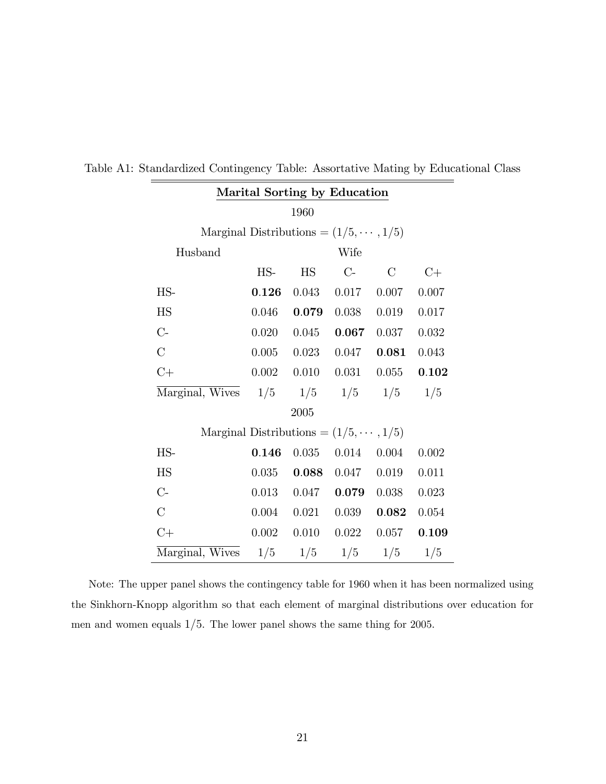| Marital Sorting by Education                 |       |             |       |             |       |  |
|----------------------------------------------|-------|-------------|-------|-------------|-------|--|
| 1960                                         |       |             |       |             |       |  |
| Marginal Distributions = $(1/5, \dots, 1/5)$ |       |             |       |             |       |  |
| Husband                                      | Wife  |             |       |             |       |  |
|                                              | HS-   | HS          | $C-$  | $\rm C$     | $C+$  |  |
| HS-                                          | 0.126 | 0.043       | 0.017 | 0.007       | 0.007 |  |
| HS                                           | 0.046 | 0.079       | 0.038 | 0.019       | 0.017 |  |
| $C-$                                         | 0.020 | 0.045       | 0.067 | 0.037       | 0.032 |  |
| $\overline{C}$                               | 0.005 | 0.023       | 0.047 | 0.081       | 0.043 |  |
| $C+$                                         | 0.002 | 0.010       | 0.031 | 0.055       | 0.102 |  |
| Marginal, Wives                              | 1/5   | 1/5         | 1/5   | 1/5         | 1/5   |  |
| 2005                                         |       |             |       |             |       |  |
| Marginal Distributions = $(1/5, \dots, 1/5)$ |       |             |       |             |       |  |
| HS-                                          | 0.146 | 0.035       | 0.014 | 0.004       | 0.002 |  |
| <b>HS</b>                                    | 0.035 | 0.088       | 0.047 | 0.019       | 0.011 |  |
| $C -$                                        | 0.013 | 0.047       | 0.079 | 0.038       | 0.023 |  |
| $\overline{C}$                               | 0.004 | 0.021       | 0.039 | 0.082       | 0.054 |  |
| $C+$                                         | 0.002 | 0.010       | 0.022 | 0.057       | 0.109 |  |
| Marginal, Wives                              |       | $1/5$ $1/5$ |       | $1/5$ $1/5$ | 1/5   |  |

Table A1: Standardized Contingency Table: Assortative Mating by Educational Class

Note: The upper panel shows the contingency table for 1960 when it has been normalized using the Sinkhorn-Knopp algorithm so that each element of marginal distributions over education for men and women equals  $1/5$ . The lower panel shows the same thing for 2005.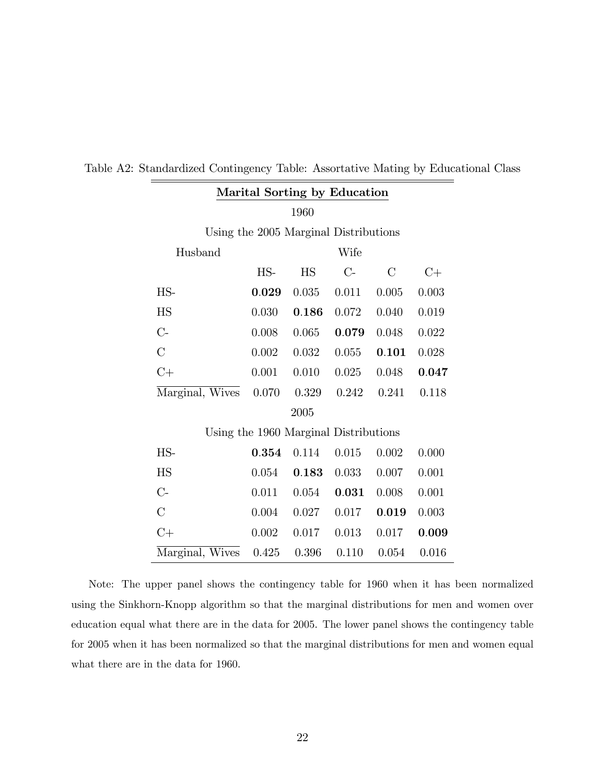| Marital Sorting by Education          |       |       |       |              |       |  |  |
|---------------------------------------|-------|-------|-------|--------------|-------|--|--|
| 1960                                  |       |       |       |              |       |  |  |
| Using the 2005 Marginal Distributions |       |       |       |              |       |  |  |
| Husband                               |       | Wife  |       |              |       |  |  |
|                                       | HS-   | HS    | $C-$  | $\mathcal C$ | $C+$  |  |  |
| HS-                                   | 0.029 | 0.035 | 0.011 | 0.005        | 0.003 |  |  |
| <b>HS</b>                             | 0.030 | 0.186 | 0.072 | 0.040        | 0.019 |  |  |
| $C-$                                  | 0.008 | 0.065 | 0.079 | 0.048        | 0.022 |  |  |
| $\overline{C}$                        | 0.002 | 0.032 | 0.055 | 0.101        | 0.028 |  |  |
| $C+$                                  | 0.001 | 0.010 | 0.025 | 0.048        | 0.047 |  |  |
| Marginal, Wives                       | 0.070 | 0.329 | 0.242 | 0.241        | 0.118 |  |  |
| 2005                                  |       |       |       |              |       |  |  |
| Using the 1960 Marginal Distributions |       |       |       |              |       |  |  |
| HS-                                   | 0.354 | 0.114 | 0.015 | 0.002        | 0.000 |  |  |
| <b>HS</b>                             | 0.054 | 0.183 | 0.033 | 0.007        | 0.001 |  |  |
| $C-$                                  | 0.011 | 0.054 | 0.031 | 0.008        | 0.001 |  |  |
| $\overline{C}$                        | 0.004 | 0.027 | 0.017 | 0.019        | 0.003 |  |  |
| $C+$                                  | 0.002 | 0.017 | 0.013 | 0.017        | 0.009 |  |  |
| Marginal, Wives                       | 0.425 | 0.396 | 0.110 | 0.054        | 0.016 |  |  |

Table A2: Standardized Contingency Table: Assortative Mating by Educational Class

Note: The upper panel shows the contingency table for 1960 when it has been normalized using the Sinkhorn-Knopp algorithm so that the marginal distributions for men and women over education equal what there are in the data for 2005. The lower panel shows the contingency table for 2005 when it has been normalized so that the marginal distributions for men and women equal what there are in the data for 1960.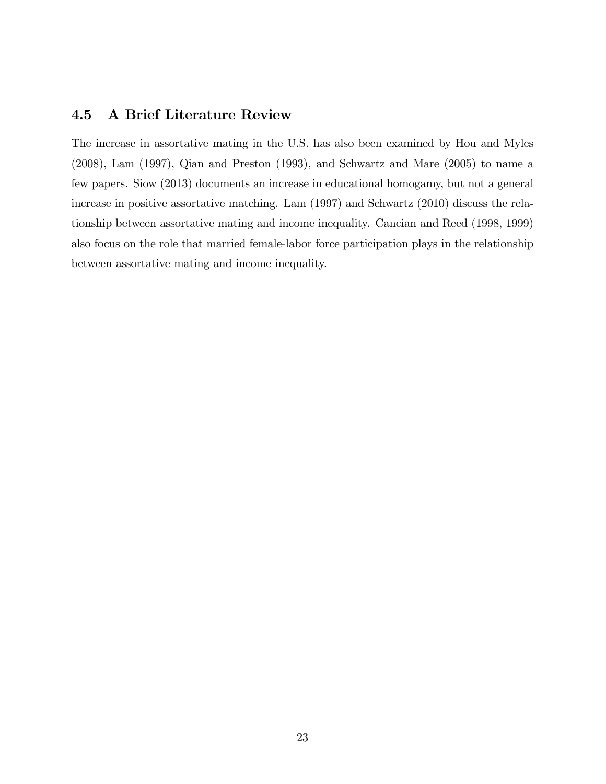### 4.5 A Brief Literature Review

The increase in assortative mating in the U.S. has also been examined by Hou and Myles (2008), Lam (1997), Qian and Preston (1993), and Schwartz and Mare (2005) to name a few papers. Siow (2013) documents an increase in educational homogamy, but not a general increase in positive assortative matching. Lam (1997) and Schwartz (2010) discuss the relationship between assortative mating and income inequality. Cancian and Reed (1998, 1999) also focus on the role that married female-labor force participation plays in the relationship between assortative mating and income inequality.